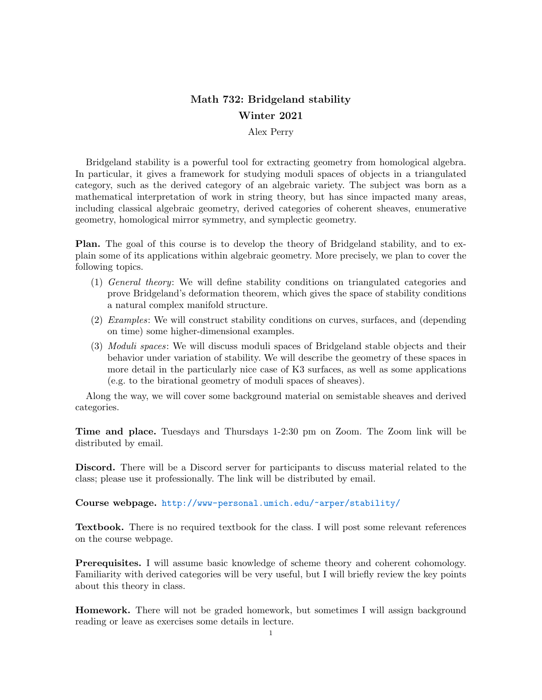## Math 732: Bridgeland stability Winter 2021

## Alex Perry

Bridgeland stability is a powerful tool for extracting geometry from homological algebra. In particular, it gives a framework for studying moduli spaces of objects in a triangulated category, such as the derived category of an algebraic variety. The subject was born as a mathematical interpretation of work in string theory, but has since impacted many areas, including classical algebraic geometry, derived categories of coherent sheaves, enumerative geometry, homological mirror symmetry, and symplectic geometry.

Plan. The goal of this course is to develop the theory of Bridgeland stability, and to explain some of its applications within algebraic geometry. More precisely, we plan to cover the following topics.

- (1) General theory: We will define stability conditions on triangulated categories and prove Bridgeland's deformation theorem, which gives the space of stability conditions a natural complex manifold structure.
- (2) Examples: We will construct stability conditions on curves, surfaces, and (depending on time) some higher-dimensional examples.
- (3) Moduli spaces: We will discuss moduli spaces of Bridgeland stable objects and their behavior under variation of stability. We will describe the geometry of these spaces in more detail in the particularly nice case of K3 surfaces, as well as some applications (e.g. to the birational geometry of moduli spaces of sheaves).

Along the way, we will cover some background material on semistable sheaves and derived categories.

Time and place. Tuesdays and Thursdays 1-2:30 pm on Zoom. The Zoom link will be distributed by email.

Discord. There will be a Discord server for participants to discuss material related to the class; please use it professionally. The link will be distributed by email.

Course webpage. <http://www-personal.umich.edu/~arper/stability/>

Textbook. There is no required textbook for the class. I will post some relevant references on the course webpage.

Prerequisites. I will assume basic knowledge of scheme theory and coherent cohomology. Familiarity with derived categories will be very useful, but I will briefly review the key points about this theory in class.

Homework. There will not be graded homework, but sometimes I will assign background reading or leave as exercises some details in lecture.